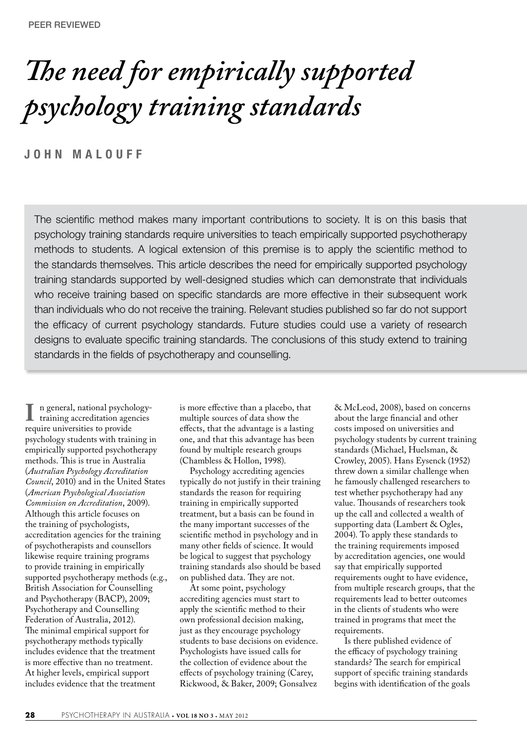# *The need for empirically supported psychology training standards*

**JOHN MALOUFF** 

The scientific method makes many important contributions to society. It is on this basis that psychology training standards require universities to teach empirically supported psychotherapy methods to students. A logical extension of this premise is to apply the scientific method to the standards themselves. This article describes the need for empirically supported psychology training standards supported by well-designed studies which can demonstrate that individuals who receive training based on specific standards are more effective in their subsequent work than individuals who do not receive the training. Relevant studies published so far do not support the efficacy of current psychology standards. Future studies could use a variety of research designs to evaluate specific training standards. The conclusions of this study extend to training standards in the fields of psychotherapy and counselling.

**I** n general, national psychology-<br>training accreditation agencies<br>require universities to provide require universities to provide psychology students with training in empirically supported psychotherapy methods. This is true in Australia (*Australian Psychology Accreditation Council*, 2010) and in the United States (*American Psychological Association Commission on Accreditation*, 2009). Although this article focuses on the training of psychologists, accreditation agencies for the training of psychotherapists and counsellors likewise require training programs to provide training in empirically supported psychotherapy methods (e.g., British Association for Counselling and Psychotherapy (BACP), 2009; Psychotherapy and Counselling Federation of Australia, 2012). The minimal empirical support for psychotherapy methods typically includes evidence that the treatment is more effective than no treatment. At higher levels, empirical support includes evidence that the treatment

is more effective than a placebo, that multiple sources of data show the effects, that the advantage is a lasting one, and that this advantage has been found by multiple research groups (Chambless & Hollon, 1998).

Psychology accrediting agencies typically do not justify in their training standards the reason for requiring training in empirically supported treatment, but a basis can be found in the many important successes of the scientific method in psychology and in many other fields of science. It would be logical to suggest that psychology training standards also should be based on published data. They are not.

At some point, psychology accrediting agencies must start to apply the scientific method to their own professional decision making, just as they encourage psychology students to base decisions on evidence. Psychologists have issued calls for the collection of evidence about the effects of psychology training (Carey, Rickwood, & Baker, 2009; Gonsalvez

& McLeod, 2008), based on concerns about the large financial and other costs imposed on universities and psychology students by current training standards (Michael, Huelsman, & Crowley, 2005). Hans Eysenck (1952) threw down a similar challenge when he famously challenged researchers to test whether psychotherapy had any value. Thousands of researchers took up the call and collected a wealth of supporting data (Lambert & Ogles, 2004). To apply these standards to the training requirements imposed by accreditation agencies, one would say that empirically supported requirements ought to have evidence, from multiple research groups, that the requirements lead to better outcomes in the clients of students who were trained in programs that meet the requirements.

Is there published evidence of the efficacy of psychology training standards? The search for empirical support of specific training standards begins with identification of the goals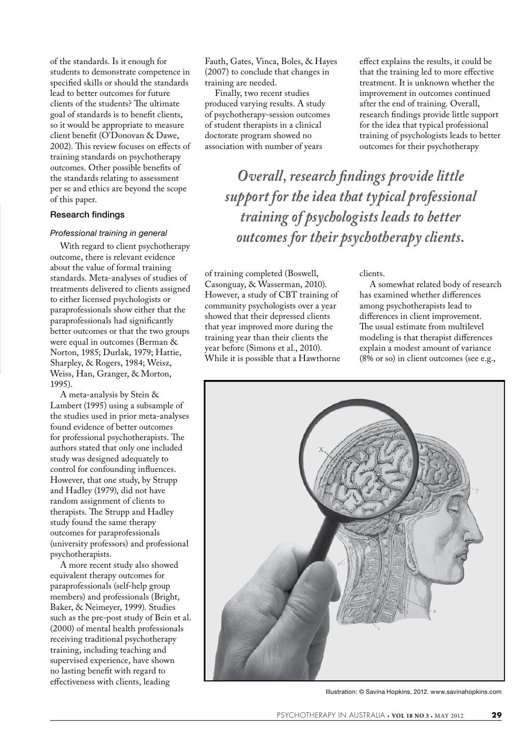of the standards. Is it enough for students to demonstrate competence in specified skills or should the standards lead to better outcomes for future clients of the students? The ultimate goal of standards is to benefit clients, so it would be appropriate to measure client benefit (O'Donovan & Dawe, 2002). This review focuses on effects of training standards on psychotherapy outcomes. Other possible benefits of the standards relating to assessment per se and ethics are beyond the scope of this paper.

## Research findings

#### *Professional training in general*

With regard to client psychotherapy outcome, there is relevant evidence about the value of formal training standards. Meta-analyses of studies of treatments delivered to clients assigned to either licensed psychologists or paraprofessionals show either that the paraprofessionals had significantly better outcomes or that the two groups were equal in outcomes (Berman & Norton, 1985; Durlak, 1979; Hattie, Sharpley, & Rogers, 1984; Weisz, Weiss, Han, Granger, & Morton, 1995).

A meta-analysis by Stein & Lambert (1995) using a subsample of the studies used in prior meta-analyses found evidence of better outcomes for professional psychotherapists. The authors stated that only one included study was designed adequately to control for confounding influences. However, that one study, by Strupp and Hadley (1979), did not have random assignment of clients to therapists. The Strupp and Hadley study found the same therapy outcomes for paraprofessionals (university professors) and professional psychotherapists.

A more recent study also showed equivalent therapy outcomes for paraprofessionals (self-help group members) and professionals (Bright, Baker, & Neimeyer, 1999). Studies such as the pre-post study of Bein et al. (2000) of mental health professionals receiving traditional psychotherapy training, including teaching and supervised experience, have shown no lasting benefit with regard to effectiveness with clients, leading

Fauth, Gates, Vinca, Boles, & Hayes (2007) to conclude that changes in training are needed.

Finally, two recent studies produced varying results. A study of psychotherapy-session outcomes of student therapists in a clinical doctorate program showed no association with number of years

effect explains the results, it could be that the training led to more effective treatment. It is unknown whether the improvement in outcomes continued after the end of training. Overall, research findings provide little support for the idea that typical professional training of psychologists leads to better outcomes for their psychotherapy

*Overall, research findings provide little support for the idea that typical professional training of psychologists leads to better outcomes for their psychotherapy clients.*

of training completed (Boswell, Casonguay, & Wasserman, 2010). However, a study of CBT training of community psychologists over a year showed that their depressed clients that year improved more during the training year than their clients the year before (Simons et al., 2010). While it is possible that a Hawthorne clients.

A somewhat related body of research has examined whether differences among psychotherapists lead to differences in client improvement. The usual estimate from multilevel modeling is that therapist differences explain a modest amount of variance (8% or so) in client outcomes (see e.g.,



Illustration: © Savina Hopkins, 2012. www.savinahopkins.com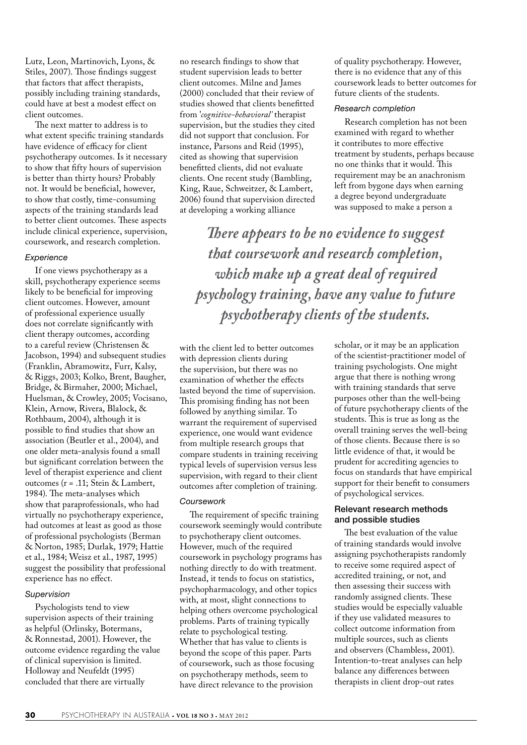Lutz, Leon, Martinovich, Lyons, & Stiles, 2007). Those findings suggest that factors that affect therapists, possibly including training standards, could have at best a modest effect on client outcomes.

The next matter to address is to what extent specific training standards have evidence of efficacy for client psychotherapy outcomes. Is it necessary to show that fifty hours of supervision is better than thirty hours? Probably not. It would be beneficial, however, to show that costly, time-consuming aspects of the training standards lead to better client outcomes. These aspects include clinical experience, supervision, coursework, and research completion.

#### *Experience*

If one views psychotherapy as a skill, psychotherapy experience seems likely to be beneficial for improving client outcomes. However, amount of professional experience usually does not correlate significantly with client therapy outcomes, according to a careful review (Christensen & Jacobson, 1994) and subsequent studies (Franklin, Abramowitz, Furr, Kalsy, & Riggs, 2003; Kolko, Brent, Baugher, Bridge, & Birmaher, 2000; Michael, Huelsman, & Crowley, 2005; Vocisano, Klein, Arnow, Rivera, Blalock, & Rothbaum, 2004), although it is possible to find studies that show an association (Beutler et al., 2004), and one older meta-analysis found a small but significant correlation between the level of therapist experience and client outcomes (r = .11; Stein & Lambert, 1984). The meta-analyses which show that paraprofessionals, who had virtually no psychotherapy experience, had outcomes at least as good as those of professional psychologists (Berman & Norton, 1985; Durlak, 1979; Hattie et al., 1984; Weisz et al., 1987, 1995) suggest the possibility that professional experience has no effect.

## *Supervision*

Psychologists tend to view supervision aspects of their training as helpful (Orlinsky, Botermans, & Ronnestad, 2001). However, the outcome evidence regarding the value of clinical supervision is limited. Holloway and Neufeldt (1995) concluded that there are virtually

no research findings to show that student supervision leads to better client outcomes. Milne and James (2000) concluded that their review of studies showed that clients benefitted from '*cognitive-behavioral'* therapist supervision, but the studies they cited did not support that conclusion. For instance, Parsons and Reid (1995), cited as showing that supervision benefitted clients, did not evaluate clients. One recent study (Bambling, King, Raue, Schweitzer, & Lambert, 2006) found that supervision directed at developing a working alliance

of quality psychotherapy. However, there is no evidence that any of this coursework leads to better outcomes for future clients of the students.

#### *Research completion*

Research completion has not been examined with regard to whether it contributes to more effective treatment by students, perhaps because no one thinks that it would. This requirement may be an anachronism left from bygone days when earning a degree beyond undergraduate was supposed to make a person a

*There appears to be no evidence to suggest that coursework and research completion, which make up a great deal of required psychology training, have any value to future psychotherapy clients of the students.*

with the client led to better outcomes with depression clients during the supervision, but there was no examination of whether the effects lasted beyond the time of supervision. This promising finding has not been followed by anything similar. To warrant the requirement of supervised experience, one would want evidence from multiple research groups that compare students in training receiving typical levels of supervision versus less supervision, with regard to their client outcomes after completion of training.

## *Coursework*

The requirement of specific training coursework seemingly would contribute to psychotherapy client outcomes. However, much of the required coursework in psychology programs has nothing directly to do with treatment. Instead, it tends to focus on statistics, psychopharmacology, and other topics with, at most, slight connections to helping others overcome psychological problems. Parts of training typically relate to psychological testing. Whether that has value to clients is beyond the scope of this paper. Parts of coursework, such as those focusing on psychotherapy methods, seem to have direct relevance to the provision

scholar, or it may be an application of the scientist-practitioner model of training psychologists. One might argue that there is nothing wrong with training standards that serve purposes other than the well-being of future psychotherapy clients of the students. This is true as long as the overall training serves the well-being of those clients. Because there is so little evidence of that, it would be prudent for accrediting agencies to focus on standards that have empirical support for their benefit to consumers of psychological services.

# Relevant research methods and possible studies

The best evaluation of the value of training standards would involve assigning psychotherapists randomly to receive some required aspect of accredited training, or not, and then assessing their success with randomly assigned clients. These studies would be especially valuable if they use validated measures to collect outcome information from multiple sources, such as clients and observers (Chambless, 2001). Intention-to-treat analyses can help balance any differences between therapists in client drop-out rates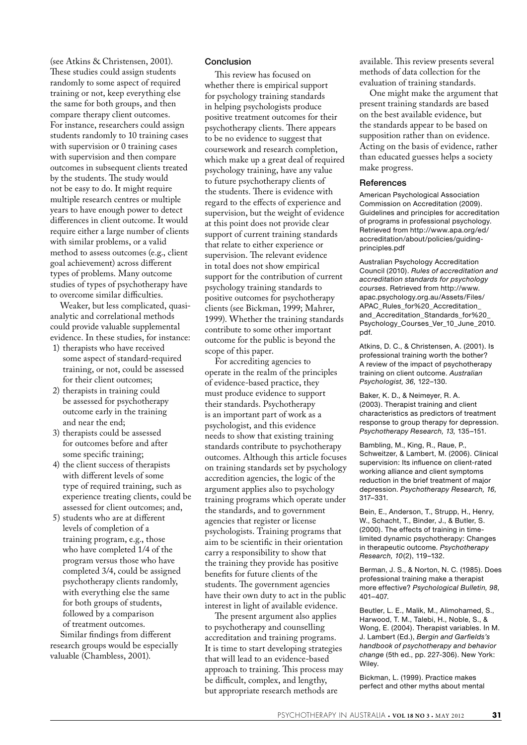(see Atkins & Christensen, 2001). These studies could assign students randomly to some aspect of required training or not, keep everything else the same for both groups, and then compare therapy client outcomes. For instance, researchers could assign students randomly to 10 training cases with supervision or 0 training cases with supervision and then compare outcomes in subsequent clients treated by the students. The study would not be easy to do. It might require multiple research centres or multiple years to have enough power to detect differences in client outcome. It would require either a large number of clients with similar problems, or a valid method to assess outcomes (e.g., client goal achievement) across different types of problems. Many outcome studies of types of psychotherapy have to overcome similar difficulties.

Weaker, but less complicated, quasianalytic and correlational methods could provide valuable supplemental evidence. In these studies, for instance:

- 1) therapists who have received some aspect of standard-required training, or not, could be assessed for their client outcomes;
- 2) therapists in training could be assessed for psychotherapy outcome early in the training and near the end;
- 3) therapists could be assessed for outcomes before and after some specific training;
- 4) the client success of therapists with different levels of some type of required training, such as experience treating clients, could be assessed for client outcomes; and,
- 5) students who are at different levels of completion of a training program, e.g., those who have completed 1/4 of the program versus those who have completed 3/4, could be assigned psychotherapy clients randomly, with everything else the same for both groups of students, followed by a comparison of treatment outcomes. Similar findings from different

research groups would be especially valuable (Chambless, 2001).

#### Conclusion

This review has focused on whether there is empirical support for psychology training standards in helping psychologists produce positive treatment outcomes for their psychotherapy clients. There appears to be no evidence to suggest that coursework and research completion, which make up a great deal of required psychology training, have any value to future psychotherapy clients of the students. There is evidence with regard to the effects of experience and supervision, but the weight of evidence at this point does not provide clear support of current training standards that relate to either experience or supervision. The relevant evidence in total does not show empirical support for the contribution of current psychology training standards to positive outcomes for psychotherapy clients (see Bickman, 1999; Mahrer, 1999). Whether the training standards contribute to some other important outcome for the public is beyond the scope of this paper.

For accrediting agencies to operate in the realm of the principles of evidence-based practice, they must produce evidence to support their standards. Psychotherapy is an important part of work as a psychologist, and this evidence needs to show that existing training standards contribute to psychotherapy outcomes. Although this article focuses on training standards set by psychology accredition agencies, the logic of the argument applies also to psychology training programs which operate under the standards, and to government agencies that register or license psychologists. Training programs that aim to be scientific in their orientation carry a responsibility to show that the training they provide has positive benefits for future clients of the students. The government agencies have their own duty to act in the public interest in light of available evidence.

The present argument also applies to psychotherapy and counselling accreditation and training programs. It is time to start developing strategies that will lead to an evidence-based approach to training. This process may be difficult, complex, and lengthy, but appropriate research methods are

available. This review presents several methods of data collection for the evaluation of training standards.

One might make the argument that present training standards are based on the best available evidence, but the standards appear to be based on supposition rather than on evidence. Acting on the basis of evidence, rather than educated guesses helps a society make progress.

#### **References**

American Psychological Association Commission on Accreditation (2009). Guidelines and principles for accreditation of programs in professional psychology. Retrieved from http://www.apa.org/ed/ accreditation/about/policies/guidingprinciples.pdf

Australian Psychology Accreditation Council (2010). *Rules of accreditation and accreditation standards for psychology courses.* Retrieved from http://www. apac.psychology.org.au/Assets/Files/ APAC\_Rules\_for%20\_Accreditation and\_Accreditation\_Standards\_for%20\_ Psychology\_Courses\_Ver\_10\_June\_2010. pdf.

Atkins, D. C., & Christensen, A. (2001). Is professional training worth the bother? A review of the impact of psychotherapy training on client outcome. *Australian Psychologist, 36,* 122–130.

Baker, K. D., & Neimeyer, R. A. (2003). Therapist training and client characteristics as predictors of treatment response to group therapy for depression. *Psychotherapy Research, 13,* 135–151.

Bambling, M., King, R., Raue, P., Schweitzer, & Lambert, M. (2006). Clinical supervision: Its influence on client-rated working alliance and client symptoms reduction in the brief treatment of major depression. *Psychotherapy Research, 16,*  317–331.

Bein, E., Anderson, T., Strupp, H., Henry, W., Schacht, T., Binder, J., & Butler, S. (2000). The effects of training in timelimited dynamic psychotherapy: Changes in therapeutic outcome. *Psychotherapy Research, 10*(2), 119–132.

Berman, J. S., & Norton, N. C. (1985). Does professional training make a therapist more effective? *Psychological Bulletin, 98,* 401–407.

Beutler, L. E., Malik, M., Alimohamed, S., Harwood, T. M., Talebi, H., Noble, S., & Wong, E. (2004). Therapist variables. In M. J. Lambert (Ed.), *Bergin and Garfields's handbook of psychotherapy and behavior change* (5th ed., pp. 227-306). New York: Wiley.

Bickman, L. (1999). Practice makes perfect and other myths about mental